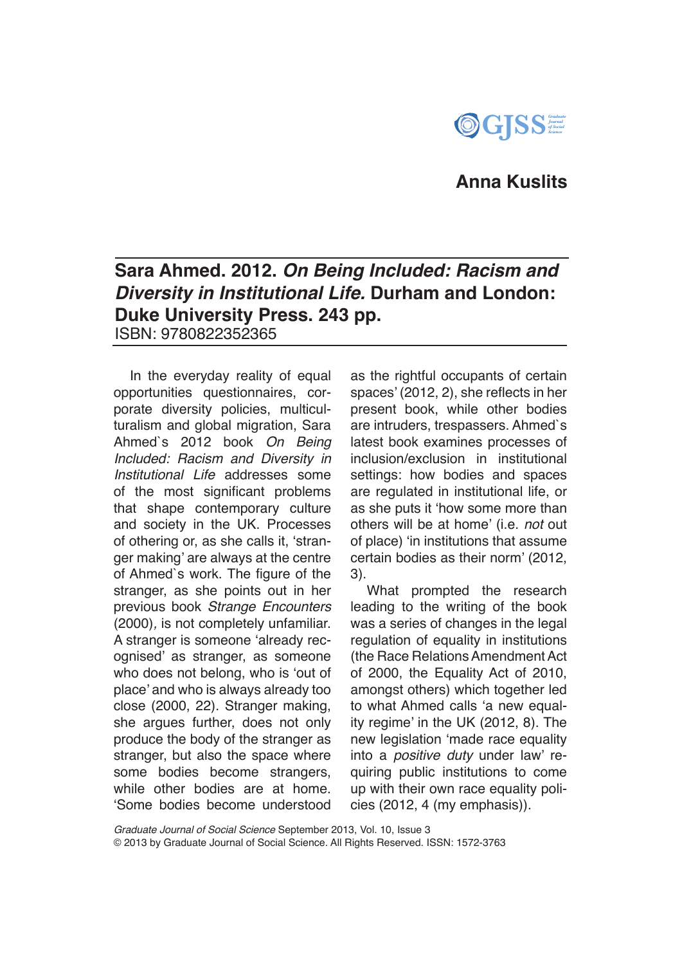

# **Anna Kuslits**

## **Sara Ahmed. 2012.** *On Being Included: Racism and Diversity in Institutional Life.* **Durham and London: Duke University Press. 243 pp.**  ISBN: 9780822352365

In the everyday reality of equal opportunities questionnaires, corporate diversity policies, multiculturalism and global migration, Sara Ahmed`s 2012 book *On Being Included: Racism and Diversity in Institutional Life* addresses some of the most significant problems that shape contemporary culture and society in the UK. Processes of othering or, as she calls it, 'stranger making' are always at the centre of Ahmed`s work. The figure of the stranger, as she points out in her previous book *Strange Encounters*  (2000)*,* is not completely unfamiliar. A stranger is someone 'already recognised' as stranger, as someone who does not belong, who is 'out of place' and who is always already too close (2000, 22). Stranger making, she argues further, does not only produce the body of the stranger as stranger, but also the space where some bodies become strangers, while other bodies are at home. 'Some bodies become understood

as the rightful occupants of certain spaces' (2012, 2), she reflects in her present book, while other bodies are intruders, trespassers. Ahmed`s latest book examines processes of inclusion/exclusion in institutional settings: how bodies and spaces are regulated in institutional life, or as she puts it 'how some more than others will be at home' (i.e. *not* out of place) 'in institutions that assume certain bodies as their norm' (2012, 3).

What prompted the research leading to the writing of the book was a series of changes in the legal regulation of equality in institutions (the Race Relations Amendment Act of 2000, the Equality Act of 2010, amongst others) which together led to what Ahmed calls 'a new equality regime' in the UK (2012, 8). The new legislation 'made race equality into a *positive duty* under law' requiring public institutions to come up with their own race equality policies (2012, 4 (my emphasis)).

*Graduate Journal of Social Science* September 2013, Vol. 10, Issue 3 © 2013 by Graduate Journal of Social Science. All Rights Reserved. ISSN: 1572-3763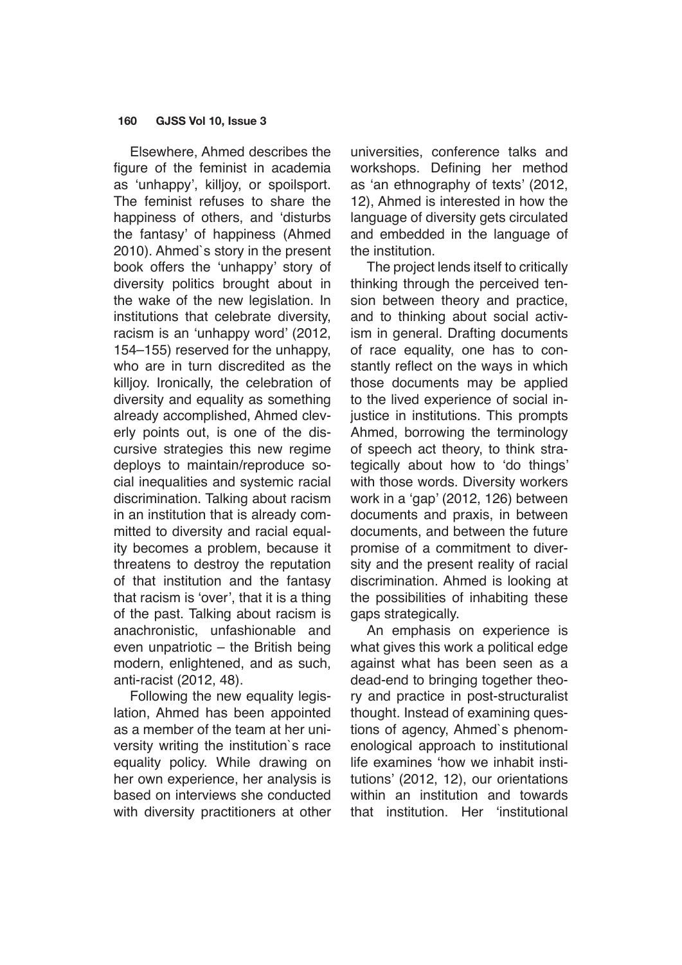#### **160 GJSS Vol 10, Issue 3**

Elsewhere, Ahmed describes the figure of the feminist in academia as 'unhappy', killjoy, or spoilsport. The feminist refuses to share the happiness of others, and 'disturbs the fantasy' of happiness (Ahmed 2010). Ahmed`s story in the present book offers the 'unhappy' story of diversity politics brought about in the wake of the new legislation. In institutions that celebrate diversity, racism is an 'unhappy word' (2012, 154–155) reserved for the unhappy, who are in turn discredited as the killjoy. Ironically, the celebration of diversity and equality as something already accomplished, Ahmed cleverly points out, is one of the discursive strategies this new regime deploys to maintain/reproduce social inequalities and systemic racial discrimination. Talking about racism in an institution that is already committed to diversity and racial equality becomes a problem, because it threatens to destroy the reputation of that institution and the fantasy that racism is 'over', that it is a thing of the past. Talking about racism is anachronistic, unfashionable and even unpatriotic – the British being modern, enlightened, and as such, anti-racist (2012, 48).

Following the new equality legislation, Ahmed has been appointed as a member of the team at her university writing the institution`s race equality policy. While drawing on her own experience, her analysis is based on interviews she conducted with diversity practitioners at other

universities, conference talks and workshops. Defining her method as 'an ethnography of texts' (2012, 12), Ahmed is interested in how the language of diversity gets circulated and embedded in the language of the institution.

The project lends itself to critically thinking through the perceived tension between theory and practice, and to thinking about social activism in general. Drafting documents of race equality, one has to constantly reflect on the ways in which those documents may be applied to the lived experience of social injustice in institutions. This prompts Ahmed, borrowing the terminology of speech act theory, to think strategically about how to 'do things' with those words. Diversity workers work in a 'gap' (2012, 126) between documents and praxis, in between documents, and between the future promise of a commitment to diversity and the present reality of racial discrimination. Ahmed is looking at the possibilities of inhabiting these gaps strategically.

An emphasis on experience is what gives this work a political edge against what has been seen as a dead-end to bringing together theory and practice in post-structuralist thought. Instead of examining questions of agency, Ahmed`s phenomenological approach to institutional life examines 'how we inhabit institutions' (2012, 12), our orientations within an institution and towards that institution. Her 'institutional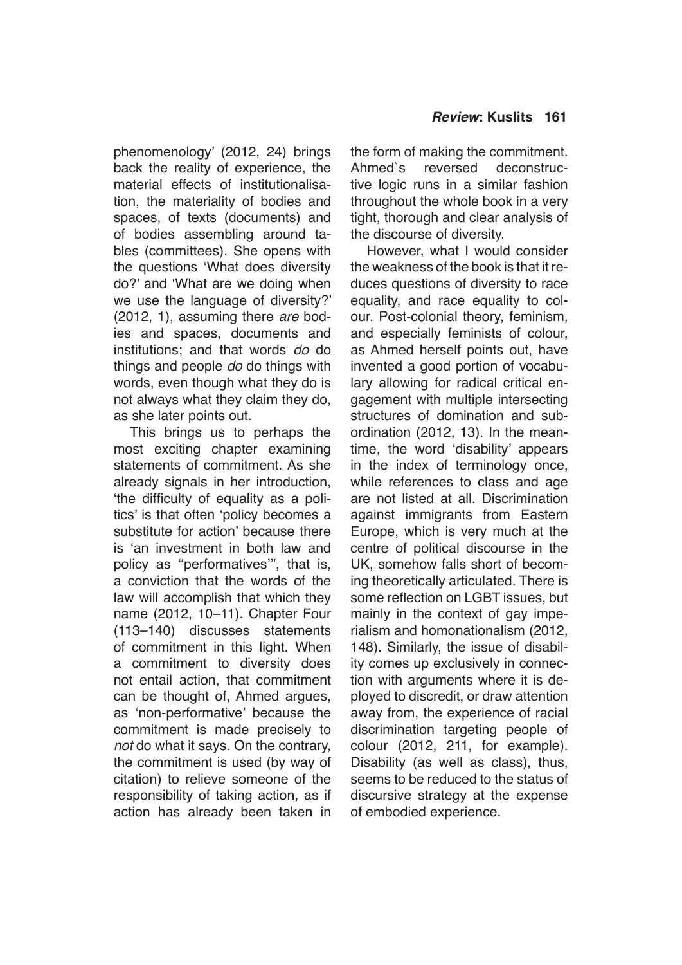phenomenology' (2012, 24) brings back the reality of experience, the material effects of institutionalisation, the materiality of bodies and spaces, of texts (documents) and of bodies assembling around tables (committees). She opens with the questions 'What does diversity do?' and 'What are we doing when we use the language of diversity?' (2012, 1), assuming there *are* bodies and spaces, documents and institutions; and that words *do* do things and people *do* do things with words, even though what they do is not always what they claim they do, as she later points out.

This brings us to perhaps the most exciting chapter examining statements of commitment. As she already signals in her introduction, 'the difficulty of equality as a politics' is that often 'policy becomes a substitute for action' because there is 'an investment in both law and policy as ''performatives''', that is, a conviction that the words of the law will accomplish that which they name (2012, 10–11). Chapter Four (113–140) discusses statements of commitment in this light. When a commitment to diversity does not entail action, that commitment can be thought of, Ahmed argues, as 'non-performative' because the commitment is made precisely to *not* do what it says. On the contrary, the commitment is used (by way of citation) to relieve someone of the responsibility of taking action, as if action has already been taken in the form of making the commitment. Ahmed`s reversed deconstructive logic runs in a similar fashion throughout the whole book in a very tight, thorough and clear analysis of the discourse of diversity.

However, what I would consider the weakness of the book is that it reduces questions of diversity to race equality, and race equality to colour. Post-colonial theory, feminism, and especially feminists of colour, as Ahmed herself points out, have invented a good portion of vocabulary allowing for radical critical engagement with multiple intersecting structures of domination and subordination (2012, 13). In the meantime, the word 'disability' appears in the index of terminology once, while references to class and age are not listed at all. Discrimination against immigrants from Eastern Europe, which is very much at the centre of political discourse in the UK, somehow falls short of becoming theoretically articulated. There is some reflection on LGBT issues, but mainly in the context of gay imperialism and homonationalism (2012, 148). Similarly, the issue of disability comes up exclusively in connection with arguments where it is deployed to discredit, or draw attention away from, the experience of racial discrimination targeting people of colour (2012, 211, for example). Disability (as well as class), thus, seems to be reduced to the status of discursive strategy at the expense of embodied experience.